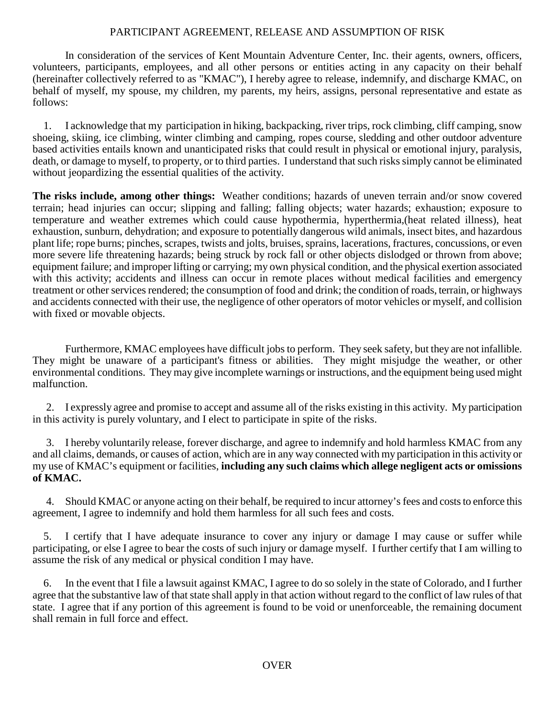## PARTICIPANT AGREEMENT, RELEASE AND ASSUMPTION OF RISK

In consideration of the services of Kent Mountain Adventure Center, Inc. their agents, owners, officers, volunteers, participants, employees, and all other persons or entities acting in any capacity on their behalf (hereinafter collectively referred to as "KMAC"), I hereby agree to release, indemnify, and discharge KMAC, on behalf of myself, my spouse, my children, my parents, my heirs, assigns, personal representative and estate as follows:

 1. I acknowledge that my participation in hiking, backpacking, river trips, rock climbing, cliff camping, snow shoeing, skiing, ice climbing, winter climbing and camping, ropes course, sledding and other outdoor adventure based activities entails known and unanticipated risks that could result in physical or emotional injury, paralysis, death, or damage to myself, to property, or to third parties. I understand that such risks simply cannot be eliminated without jeopardizing the essential qualities of the activity.

**The risks include, among other things:** Weather conditions; hazards of uneven terrain and/or snow covered terrain; head injuries can occur; slipping and falling; falling objects; water hazards; exhaustion; exposure to temperature and weather extremes which could cause hypothermia, hyperthermia,(heat related illness), heat exhaustion, sunburn, dehydration; and exposure to potentially dangerous wild animals, insect bites, and hazardous plant life; rope burns; pinches, scrapes, twists and jolts, bruises, sprains, lacerations, fractures, concussions, or even more severe life threatening hazards; being struck by rock fall or other objects dislodged or thrown from above; equipment failure; and improper lifting or carrying; my own physical condition, and the physical exertion associated with this activity; accidents and illness can occur in remote places without medical facilities and emergency treatment or other services rendered; the consumption of food and drink; the condition of roads, terrain, or highways and accidents connected with their use, the negligence of other operators of motor vehicles or myself, and collision with fixed or movable objects.

Furthermore, KMAC employees have difficult jobs to perform. They seek safety, but they are not infallible. They might be unaware of a participant's fitness or abilities. They might misjudge the weather, or other environmental conditions. They may give incomplete warnings or instructions, and the equipment being used might malfunction.

 2. I expressly agree and promise to accept and assume all of the risks existing in this activity. My participation in this activity is purely voluntary, and I elect to participate in spite of the risks.

 3. I hereby voluntarily release, forever discharge, and agree to indemnify and hold harmless KMAC from any and all claims, demands, or causes of action, which are in any way connected with my participation in this activity or my use of KMAC's equipment or facilities, **including any such claims which allege negligent acts or omissions of KMAC.**

 4. Should KMAC or anyone acting on their behalf, be required to incur attorney's fees and costs to enforce this agreement, I agree to indemnify and hold them harmless for all such fees and costs.

 5. I certify that I have adequate insurance to cover any injury or damage I may cause or suffer while participating, or else I agree to bear the costs of such injury or damage myself. I further certify that I am willing to assume the risk of any medical or physical condition I may have.

 6. In the event that I file a lawsuit against KMAC, I agree to do so solely in the state of Colorado, and I further agree that the substantive law of that state shall apply in that action without regard to the conflict of law rules of that state. I agree that if any portion of this agreement is found to be void or unenforceable, the remaining document shall remain in full force and effect.